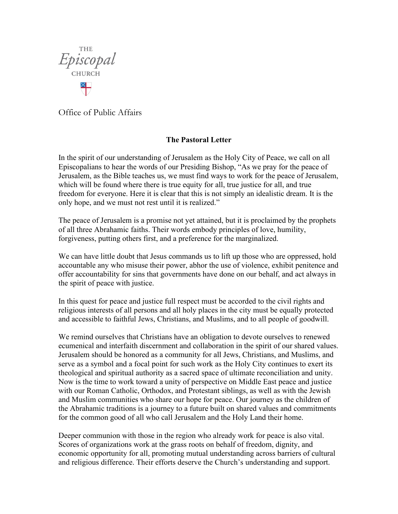

Office of Public Affairs

## **The Pastoral Letter**

In the spirit of our understanding of Jerusalem as the Holy City of Peace, we call on all Episcopalians to hear the words of our Presiding Bishop, "As we pray for the peace of Jerusalem, as the Bible teaches us, we must find ways to work for the peace of Jerusalem, which will be found where there is true equity for all, true justice for all, and true freedom for everyone. Here it is clear that this is not simply an idealistic dream. It is the only hope, and we must not rest until it is realized."

The peace of Jerusalem is a promise not yet attained, but it is proclaimed by the prophets of all three Abrahamic faiths. Their words embody principles of love, humility, forgiveness, putting others first, and a preference for the marginalized.

We can have little doubt that Jesus commands us to lift up those who are oppressed, hold accountable any who misuse their power, abhor the use of violence, exhibit penitence and offer accountability for sins that governments have done on our behalf, and act always in the spirit of peace with justice.

In this quest for peace and justice full respect must be accorded to the civil rights and religious interests of all persons and all holy places in the city must be equally protected and accessible to faithful Jews, Christians, and Muslims, and to all people of goodwill.

We remind ourselves that Christians have an obligation to devote ourselves to renewed ecumenical and interfaith discernment and collaboration in the spirit of our shared values. Jerusalem should be honored as a community for all Jews, Christians, and Muslims, and serve as a symbol and a focal point for such work as the Holy City continues to exert its theological and spiritual authority as a sacred space of ultimate reconciliation and unity. Now is the time to work toward a unity of perspective on Middle East peace and justice with our Roman Catholic, Orthodox, and Protestant siblings, as well as with the Jewish and Muslim communities who share our hope for peace. Our journey as the children of the Abrahamic traditions is a journey to a future built on shared values and commitments for the common good of all who call Jerusalem and the Holy Land their home.

Deeper communion with those in the region who already work for peace is also vital. Scores of organizations work at the grass roots on behalf of freedom, dignity, and economic opportunity for all, promoting mutual understanding across barriers of cultural and religious difference. Their efforts deserve the Church's understanding and support.